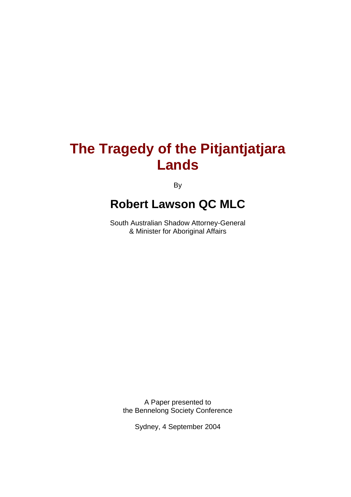# **The Tragedy of the Pitjantjatjara Lands**

**By** 

# **Robert Lawson QC MLC**

South Australian Shadow Attorney-General & Minister for Aboriginal Affairs

A Paper presented to the Bennelong Society Conference

Sydney, 4 September 2004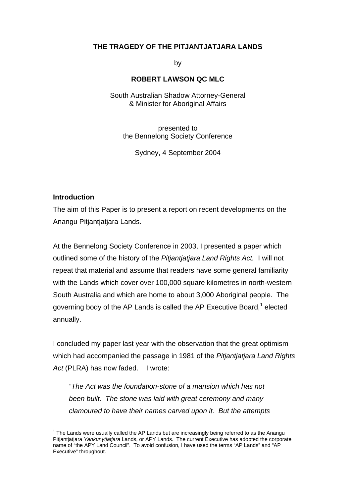## **THE TRAGEDY OF THE PITJANTJATJARA LANDS**

by

### **ROBERT LAWSON QC MLC**

South Australian Shadow Attorney-General & Minister for Aboriginal Affairs

presented to the Bennelong Society Conference

Sydney, 4 September 2004

#### **Introduction**

 $\overline{a}$ 

The aim of this Paper is to present a report on recent developments on the Anangu Pitjantjatjara Lands.

At the Bennelong Society Conference in 2003, I presented a paper which outlined some of the history of the *Pitjantjatjara Land Rights Act.* I will not repeat that material and assume that readers have some general familiarity with the Lands which cover over 100,000 square kilometres in north-western South Australia and which are home to about 3,000 Aboriginal people. The governing body of the AP Lands is called the AP Executive Board,<sup>1</sup> elected annually.

I concluded my paper last year with the observation that the great optimism which had accompanied the passage in 1981 of the *Pitjantjatjara Land Rights Act* (PLRA) has now faded. I wrote:

*"The Act was the foundation-stone of a mansion which has not been built. The stone was laid with great ceremony and many clamoured to have their names carved upon it. But the attempts*

 $1$  The Lands were usually called the AP Lands but are increasingly being referred to as the Anangu Pitjantjatjara *Yankunytjatjara* Lands, or APY Lands. The current Executive has adopted the corporate name of "the APY Land Council". To avoid confusion, I have used the terms "AP Lands" and "AP Executive" throughout.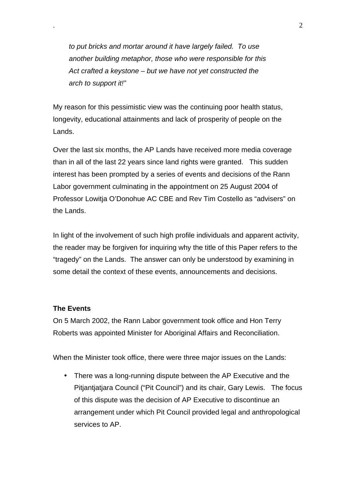*to put bricks and mortar around it have largely failed. To use another building metaphor, those who were responsible for this Act crafted a keystone – but we have not yet constructed the arch to support it!"*

My reason for this pessimistic view was the continuing poor health status, longevity, educational attainments and lack of prosperity of people on the Lands.

Over the last six months, the AP Lands have received more media coverage than in all of the last 22 years since land rights were granted. This sudden interest has been prompted by a series of events and decisions of the Rann Labor government culminating in the appointment on 25 August 2004 of Professor Lowitja O'Donohue AC CBE and Rev Tim Costello as "advisers" on the Lands.

In light of the involvement of such high profile individuals and apparent activity, the reader may be forgiven for inquiring why the title of this Paper refers to the "tragedy" on the Lands. The answer can only be understood by examining in some detail the context of these events, announcements and decisions.

### **The Events**

On 5 March 2002, the Rann Labor government took office and Hon Terry Roberts was appointed Minister for Aboriginal Affairs and Reconciliation.

When the Minister took office, there were three major issues on the Lands:

• There was a long-running dispute between the AP Executive and the Pitjantjatjara Council ("Pit Council") and its chair, Gary Lewis. The focus of this dispute was the decision of AP Executive to discontinue an arrangement under which Pit Council provided legal and anthropological services to AP.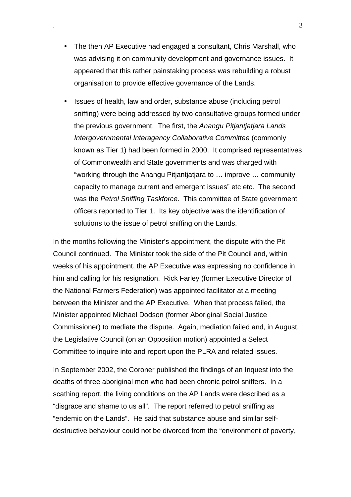- The then AP Executive had engaged a consultant, Chris Marshall, who was advising it on community development and governance issues. It appeared that this rather painstaking process was rebuilding a robust organisation to provide effective governance of the Lands.
- Issues of health, law and order, substance abuse (including petrol sniffing) were being addressed by two consultative groups formed under the previous government. The first, the *Anangu Pitjantjatjara Lands Intergovernmental Interagency Collaborative Committee* (commonly known as Tier 1) had been formed in 2000. It comprised representatives of Commonwealth and State governments and was charged with "working through the Anangu Pitjantjatjara to … improve … community capacity to manage current and emergent issues" etc etc. The second was the *Petrol Sniffing Taskforce*. This committee of State government officers reported to Tier 1. Its key objective was the identification of solutions to the issue of petrol sniffing on the Lands.

In the months following the Minister's appointment, the dispute with the Pit Council continued. The Minister took the side of the Pit Council and, within weeks of his appointment, the AP Executive was expressing no confidence in him and calling for his resignation. Rick Farley (former Executive Director of the National Farmers Federation) was appointed facilitator at a meeting between the Minister and the AP Executive. When that process failed, the Minister appointed Michael Dodson (former Aboriginal Social Justice Commissioner) to mediate the dispute. Again, mediation failed and, in August, the Legislative Council (on an Opposition motion) appointed a Select Committee to inquire into and report upon the PLRA and related issues.

In September 2002, the Coroner published the findings of an Inquest into the deaths of three aboriginal men who had been chronic petrol sniffers. In a scathing report, the living conditions on the AP Lands were described as a "disgrace and shame to us all". The report referred to petrol sniffing as "endemic on the Lands". He said that substance abuse and similar selfdestructive behaviour could not be divorced from the "environment of poverty,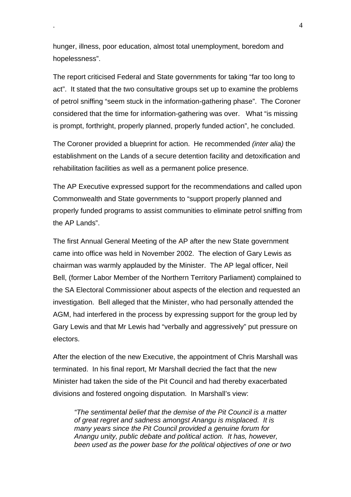hunger, illness, poor education, almost total unemployment, boredom and hopelessness".

The report criticised Federal and State governments for taking "far too long to act". It stated that the two consultative groups set up to examine the problems of petrol sniffing "seem stuck in the information-gathering phase". The Coroner considered that the time for information-gathering was over. What "is missing is prompt, forthright, properly planned, properly funded action", he concluded.

The Coroner provided a blueprint for action. He recommended *(inter alia)* the establishment on the Lands of a secure detention facility and detoxification and rehabilitation facilities as well as a permanent police presence.

The AP Executive expressed support for the recommendations and called upon Commonwealth and State governments to "support properly planned and properly funded programs to assist communities to eliminate petrol sniffing from the AP Lands".

The first Annual General Meeting of the AP after the new State government came into office was held in November 2002. The election of Gary Lewis as chairman was warmly applauded by the Minister. The AP legal officer, Neil Bell, (former Labor Member of the Northern Territory Parliament) complained to the SA Electoral Commissioner about aspects of the election and requested an investigation. Bell alleged that the Minister, who had personally attended the AGM, had interfered in the process by expressing support for the group led by Gary Lewis and that Mr Lewis had "verbally and aggressively" put pressure on electors.

After the election of the new Executive, the appointment of Chris Marshall was terminated. In his final report, Mr Marshall decried the fact that the new Minister had taken the side of the Pit Council and had thereby exacerbated divisions and fostered ongoing disputation. In Marshall's view:

*"The sentimental belief that the demise of the Pit Council is a matter of great regret and sadness amongst Anangu is misplaced. It is many years since the Pit Council provided a genuine forum for Anangu unity, public debate and political action. It has, however, been used as the power base for the political objectives of one or two*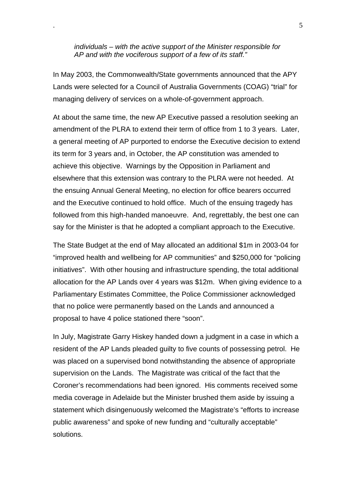*individuals – with the active support of the Minister responsible for AP and with the vociferous support of a few of its staff."*

In May 2003, the Commonwealth/State governments announced that the APY Lands were selected for a Council of Australia Governments (COAG) "trial" for managing delivery of services on a whole-of-government approach.

At about the same time, the new AP Executive passed a resolution seeking an amendment of the PLRA to extend their term of office from 1 to 3 years. Later, a general meeting of AP purported to endorse the Executive decision to extend its term for 3 years and, in October, the AP constitution was amended to achieve this objective. Warnings by the Opposition in Parliament and elsewhere that this extension was contrary to the PLRA were not heeded. At the ensuing Annual General Meeting, no election for office bearers occurred and the Executive continued to hold office. Much of the ensuing tragedy has followed from this high-handed manoeuvre. And, regrettably, the best one can say for the Minister is that he adopted a compliant approach to the Executive.

The State Budget at the end of May allocated an additional \$1m in 2003-04 for "improved health and wellbeing for AP communities" and \$250,000 for "policing initiatives". With other housing and infrastructure spending, the total additional allocation for the AP Lands over 4 years was \$12m. When giving evidence to a Parliamentary Estimates Committee, the Police Commissioner acknowledged that no police were permanently based on the Lands and announced a proposal to have 4 police stationed there "soon".

In July, Magistrate Garry Hiskey handed down a judgment in a case in which a resident of the AP Lands pleaded guilty to five counts of possessing petrol. He was placed on a supervised bond notwithstanding the absence of appropriate supervision on the Lands. The Magistrate was critical of the fact that the Coroner's recommendations had been ignored. His comments received some media coverage in Adelaide but the Minister brushed them aside by issuing a statement which disingenuously welcomed the Magistrate's "efforts to increase public awareness" and spoke of new funding and "culturally acceptable" solutions.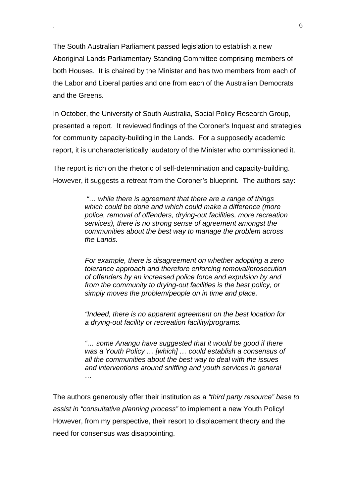The South Australian Parliament passed legislation to establish a new Aboriginal Lands Parliamentary Standing Committee comprising members of both Houses. It is chaired by the Minister and has two members from each of the Labor and Liberal parties and one from each of the Australian Democrats and the Greens.

In October, the University of South Australia, Social Policy Research Group, presented a report. It reviewed findings of the Coroner's Inquest and strategies for community capacity-building in the Lands. For a supposedly academic report, it is uncharacteristically laudatory of the Minister who commissioned it.

The report is rich on the rhetoric of self-determination and capacity-building. However, it suggests a retreat from the Coroner's blueprint. The authors say:

> *"… while there is agreement that there are a range of things which could be done and which could make a difference (more police, removal of offenders, drying-out facilities, more recreation services), there is no strong sense of agreement amongst the communities about the best way to manage the problem across the Lands.*

> *For example, there is disagreement on whether adopting a zero tolerance approach and therefore enforcing removal/prosecution of offenders by an increased police force and expulsion by and from the community to drying-out facilities is the best policy, or simply moves the problem/people on in time and place.*

> *"Indeed, there is no apparent agreement on the best location for a drying-out facility or recreation facility/programs.*

> *"… some Anangu have suggested that it would be good if there was a Youth Policy … [which] … could establish a consensus of all the communities about the best way to deal with the issues and interventions around sniffing and youth services in general …*

The authors generously offer their institution as a *"third party resource" base to assist in "consultative planning process"* to implement a new Youth Policy! However, from my perspective, their resort to displacement theory and the need for consensus was disappointing.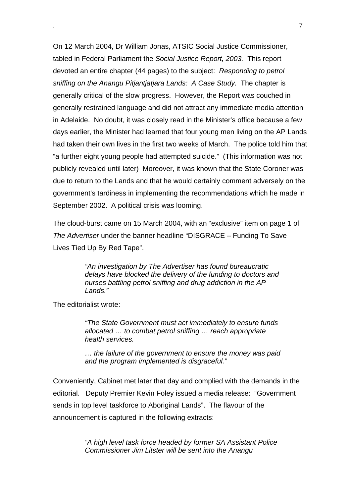On 12 March 2004, Dr William Jonas, ATSIC Social Justice Commissioner, tabled in Federal Parliament the *Social Justice Report, 2003.* This report devoted an entire chapter (44 pages) to the subject: *Responding to petrol sniffing on the Anangu Pitjantjatjara Lands: A Case Study.* The chapter is generally critical of the slow progress. However, the Report was couched in generally restrained language and did not attract any immediate media attention in Adelaide. No doubt, it was closely read in the Minister's office because a few days earlier, the Minister had learned that four young men living on the AP Lands had taken their own lives in the first two weeks of March. The police told him that "a further eight young people had attempted suicide." (This information was not publicly revealed until later) Moreover, it was known that the State Coroner was due to return to the Lands and that he would certainly comment adversely on the government's tardiness in implementing the recommendations which he made in September 2002. A political crisis was looming.

The cloud-burst came on 15 March 2004, with an "exclusive" item on page 1 of *The Advertiser* under the banner headline "DISGRACE – Funding To Save Lives Tied Up By Red Tape".

> *"An investigation by The Advertiser has found bureaucratic delays have blocked the delivery of the funding to doctors and nurses battling petrol sniffing and drug addiction in the AP Lands."*

The editorialist wrote:

*"The State Government must act immediately to ensure funds allocated … to combat petrol sniffing … reach appropriate health services.*

*… the failure of the government to ensure the money was paid and the program implemented is disgraceful."*

Conveniently, Cabinet met later that day and complied with the demands in the editorial. Deputy Premier Kevin Foley issued a media release: "Government sends in top level taskforce to Aboriginal Lands". The flavour of the announcement is captured in the following extracts:

> *"A high level task force headed by former SA Assistant Police Commissioner Jim Litster will be sent into the Anangu*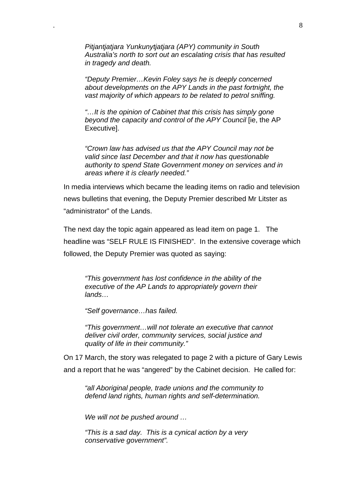*Pitjantjatjara Yunkunytjatjara (APY) community in South Australia's north to sort out an escalating crisis that has resulted in tragedy and death.*

*"Deputy Premier…Kevin Foley says he is deeply concerned about developments on the APY Lands in the past fortnight, the vast majority of which appears to be related to petrol sniffing.*

*"…It is the opinion of Cabinet that this crisis has simply gone beyond the capacity and control of the APY Council* [ie, the AP Executive].

*"Crown law has advised us that the APY Council may not be valid since last December and that it now has questionable authority to spend State Government money on services and in areas where it is clearly needed."*

In media interviews which became the leading items on radio and television news bulletins that evening, the Deputy Premier described Mr Litster as "administrator" of the Lands.

The next day the topic again appeared as lead item on page 1. The headline was "SELF RULE IS FINISHED". In the extensive coverage which followed, the Deputy Premier was quoted as saying:

*"This government has lost confidence in the ability of the executive of the AP Lands to appropriately govern their lands…*

*"Self governance…has failed.*

*"This government…will not tolerate an executive that cannot deliver civil order, community services, social justice and quality of life in their community."*

On 17 March, the story was relegated to page 2 with a picture of Gary Lewis and a report that he was "angered" by the Cabinet decision. He called for:

*"all Aboriginal people, trade unions and the community to defend land rights, human rights and self-determination.*

*We will not be pushed around …*

*"This is a sad day. This is a cynical action by a very conservative government".*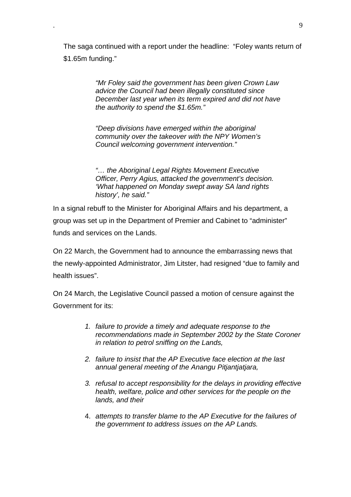The saga continued with a report under the headline: "Foley wants return of \$1.65m funding."

> *"Mr Foley said the government has been given Crown Law advice the Council had been illegally constituted since December last year when its term expired and did not have the authority to spend the \$1.65m."*

*"Deep divisions have emerged within the aboriginal community over the takeover with the NPY Women's Council welcoming government intervention."*

*"… the Aboriginal Legal Rights Movement Executive Officer, Perry Agius, attacked the government's decision. 'What happened on Monday swept away SA land rights history', he said."*

In a signal rebuff to the Minister for Aboriginal Affairs and his department, a group was set up in the Department of Premier and Cabinet to "administer" funds and services on the Lands.

On 22 March, the Government had to announce the embarrassing news that the newly-appointed Administrator, Jim Litster, had resigned "due to family and health issues".

On 24 March, the Legislative Council passed a motion of censure against the Government for its:

- *1. failure to provide a timely and adequate response to the recommendations made in September 2002 by the State Coroner in relation to petrol sniffing on the Lands,*
- *2. failure to insist that the AP Executive face election at the last annual general meeting of the Anangu Pitjantjatjara,*
- *3. refusal to accept responsibility for the delays in providing effective health, welfare, police and other services for the people on the lands, and their*
- 4. *attempts to transfer blame to the AP Executive for the failures of the government to address issues on the AP Lands.*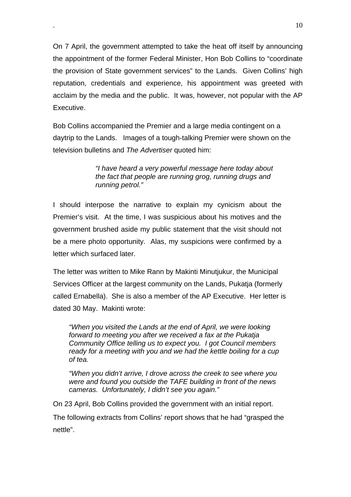On 7 April, the government attempted to take the heat off itself by announcing the appointment of the former Federal Minister, Hon Bob Collins to "coordinate the provision of State government services" to the Lands. Given Collins' high reputation, credentials and experience, his appointment was greeted with acclaim by the media and the public. It was, however, not popular with the AP Executive.

Bob Collins accompanied the Premier and a large media contingent on a daytrip to the Lands. Images of a tough-talking Premier were shown on the television bulletins and *The Advertiser* quoted him:

> *"I have heard a very powerful message here today about the fact that people are running grog, running drugs and running petrol."*

I should interpose the narrative to explain my cynicism about the Premier's visit. At the time, I was suspicious about his motives and the government brushed aside my public statement that the visit should not be a mere photo opportunity. Alas, my suspicions were confirmed by a letter which surfaced later.

The letter was written to Mike Rann by Makinti Minutjukur, the Municipal Services Officer at the largest community on the Lands, Pukatja (formerly called Ernabella). She is also a member of the AP Executive. Her letter is dated 30 May. Makinti wrote:

*"When you visited the Lands at the end of April, we were looking forward to meeting you after we received a fax at the Pukatja Community Office telling us to expect you. I got Council members ready for a meeting with you and we had the kettle boiling for a cup of tea.*

*"When you didn't arrive, I drove across the creek to see where you were and found you outside the TAFE building in front of the news cameras. Unfortunately, I didn't see you again."*

On 23 April, Bob Collins provided the government with an initial report.

The following extracts from Collins' report shows that he had "grasped the nettle".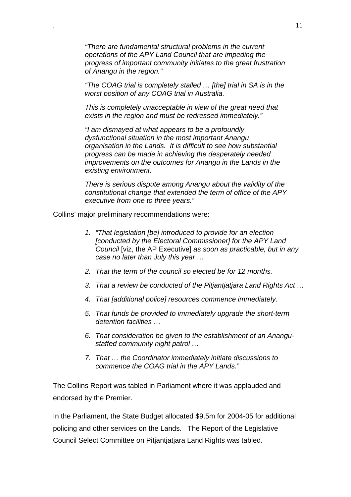*"There are fundamental structural problems in the current operations of the APY Land Council that are impeding the progress of important community initiates to the great frustration of Anangu in the region."*

*"The COAG trial is completely stalled … [the] trial in SA is in the worst position of any COAG trial in Australia.*

*This is completely unacceptable in view of the great need that exists in the region and must be redressed immediately."*

*"I am dismayed at what appears to be a profoundly dysfunctional situation in the most important Anangu organisation in the Lands. It is difficult to see how substantial progress can be made in achieving the desperately needed improvements on the outcomes for Anangu in the Lands in the existing environment.*

*There is serious dispute among Anangu about the validity of the constitutional change that extended the term of office of the APY executive from one to three years."*

Collins' major preliminary recommendations were:

- *1. "That legislation [be] introduced to provide for an election [conducted by the Electoral Commissioner] for the APY Land Council* [viz, the AP Executive] *as soon as practicable, but in any case no later than July this year …*
- *2. That the term of the council so elected be for 12 months.*
- *3. That a review be conducted of the Pitjantjatjara Land Rights Act …*
- *4. That [additional police] resources commence immediately.*
- *5. That funds be provided to immediately upgrade the short-term detention facilities …*
- *6. That consideration be given to the establishment of an Anangustaffed community night patrol …*
- *7. That … the Coordinator immediately initiate discussions to commence the COAG trial in the APY Lands."*

The Collins Report was tabled in Parliament where it was applauded and endorsed by the Premier.

In the Parliament, the State Budget allocated \$9.5m for 2004-05 for additional policing and other services on the Lands. The Report of the Legislative Council Select Committee on Pitjantjatjara Land Rights was tabled.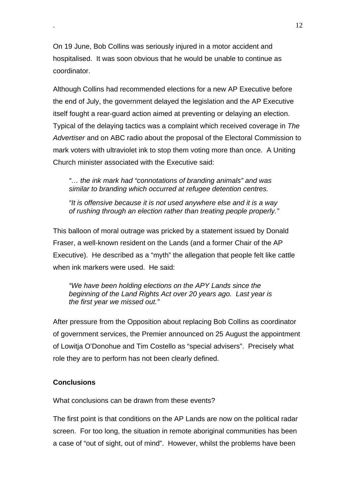On 19 June, Bob Collins was seriously injured in a motor accident and hospitalised. It was soon obvious that he would be unable to continue as coordinator.

Although Collins had recommended elections for a new AP Executive before the end of July, the government delayed the legislation and the AP Executive itself fought a rear-guard action aimed at preventing or delaying an election. Typical of the delaying tactics was a complaint which received coverage in *The Advertiser* and on ABC radio about the proposal of the Electoral Commission to mark voters with ultraviolet ink to stop them voting more than once. A Uniting Church minister associated with the Executive said:

*"… the ink mark had "connotations of branding animals" and was similar to branding which occurred at refugee detention centres.*

*"It is offensive because it is not used anywhere else and it is a way of rushing through an election rather than treating people properly."*

This balloon of moral outrage was pricked by a statement issued by Donald Fraser, a well-known resident on the Lands (and a former Chair of the AP Executive). He described as a "myth" the allegation that people felt like cattle when ink markers were used. He said:

*"We have been holding elections on the APY Lands since the beginning of the Land Rights Act over 20 years ago. Last year is the first year we missed out."*

After pressure from the Opposition about replacing Bob Collins as coordinator of government services, the Premier announced on 25 August the appointment of Lowitja O'Donohue and Tim Costello as "special advisers". Precisely what role they are to perform has not been clearly defined.

#### **Conclusions**

What conclusions can be drawn from these events?

The first point is that conditions on the AP Lands are now on the political radar screen. For too long, the situation in remote aboriginal communities has been a case of "out of sight, out of mind". However, whilst the problems have been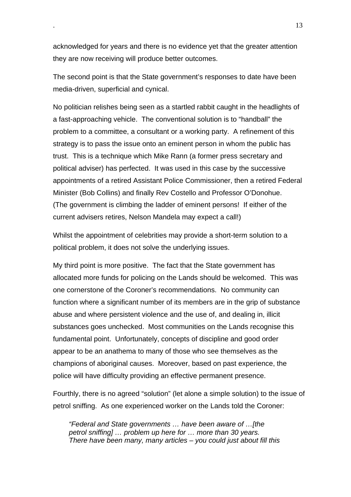acknowledged for years and there is no evidence yet that the greater attention they are now receiving will produce better outcomes.

The second point is that the State government's responses to date have been media-driven, superficial and cynical.

No politician relishes being seen as a startled rabbit caught in the headlights of a fast-approaching vehicle. The conventional solution is to "handball" the problem to a committee, a consultant or a working party. A refinement of this strategy is to pass the issue onto an eminent person in whom the public has trust. This is a technique which Mike Rann (a former press secretary and political adviser) has perfected. It was used in this case by the successive appointments of a retired Assistant Police Commissioner, then a retired Federal Minister (Bob Collins) and finally Rev Costello and Professor O'Donohue. (The government is climbing the ladder of eminent persons! If either of the current advisers retires, Nelson Mandela may expect a call!)

Whilst the appointment of celebrities may provide a short-term solution to a political problem, it does not solve the underlying issues.

My third point is more positive. The fact that the State government has allocated more funds for policing on the Lands should be welcomed. This was one cornerstone of the Coroner's recommendations. No community can function where a significant number of its members are in the grip of substance abuse and where persistent violence and the use of, and dealing in, illicit substances goes unchecked. Most communities on the Lands recognise this fundamental point. Unfortunately, concepts of discipline and good order appear to be an anathema to many of those who see themselves as the champions of aboriginal causes. Moreover, based on past experience, the police will have difficulty providing an effective permanent presence.

Fourthly, there is no agreed "solution" (let alone a simple solution) to the issue of petrol sniffing. As one experienced worker on the Lands told the Coroner:

*"Federal and State governments … have been aware of …[the petrol sniffing] … problem up here for … more than 30 years. There have been many, many articles – you could just about fill this*

. 13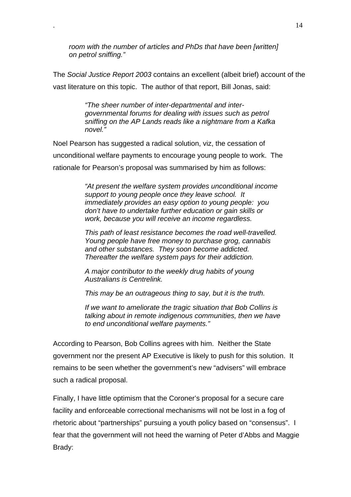*room with the number of articles and PhDs that have been [written] on petrol sniffing."*

The *Social Justice Report 2003* contains an excellent (albeit brief) account of the vast literature on this topic. The author of that report, Bill Jonas, said:

> *"The sheer number of inter-departmental and intergovernmental forums for dealing with issues such as petrol sniffing on the AP Lands reads like a nightmare from a Kafka novel."*

Noel Pearson has suggested a radical solution, viz, the cessation of unconditional welfare payments to encourage young people to work. The rationale for Pearson's proposal was summarised by him as follows:

> *"At present the welfare system provides unconditional income support to young people once they leave school. It immediately provides an easy option to young people: you don't have to undertake further education or gain skills or work, because you will receive an income regardless.*

> *This path of least resistance becomes the road well-travelled. Young people have free money to purchase grog, cannabis and other substances. They soon become addicted. Thereafter the welfare system pays for their addiction.*

*A major contributor to the weekly drug habits of young Australians is Centrelink.*

*This may be an outrageous thing to say, but it is the truth.*

*If we want to ameliorate the tragic situation that Bob Collins is talking about in remote indigenous communities, then we have to end unconditional welfare payments."*

According to Pearson, Bob Collins agrees with him. Neither the State government nor the present AP Executive is likely to push for this solution. It remains to be seen whether the government's new "advisers" will embrace such a radical proposal.

Finally, I have little optimism that the Coroner's proposal for a secure care facility and enforceable correctional mechanisms will not be lost in a fog of rhetoric about "partnerships" pursuing a youth policy based on "consensus". I fear that the government will not heed the warning of Peter d'Abbs and Maggie Brady: